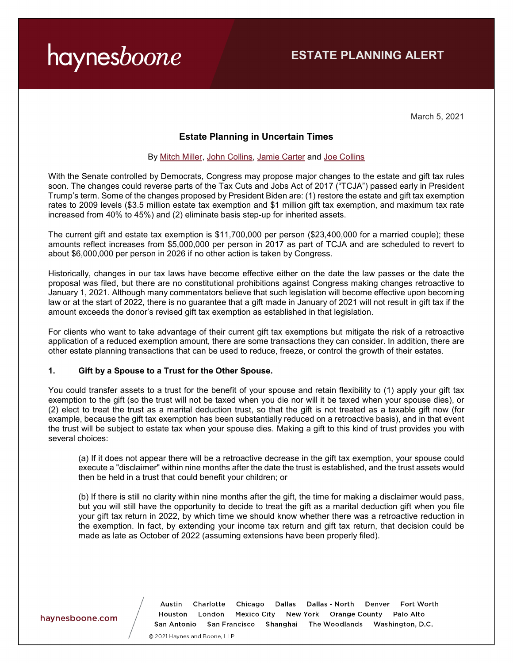# haynesboone

March 5, 2021

### **Estate Planning in Uncertain Times**

#### By [Mitch Miller,](https://www.haynesboone.com/people/m/miller-j-mitchell) [John Collins,](https://www.haynesboone.com/people/c/collins-john) [Jamie Carter](https://www.haynesboone.com/people/c/carter-jamie) and [Joe Collins](https://www.haynesboone.com/people/c/collins-joseph)

With the Senate controlled by Democrats, Congress may propose major changes to the estate and gift tax rules soon. The changes could reverse parts of the Tax Cuts and Jobs Act of 2017 ("TCJA") passed early in President Trump's term. Some of the changes proposed by President Biden are: (1) restore the estate and gift tax exemption rates to 2009 levels (\$3.5 million estate tax exemption and \$1 million gift tax exemption, and maximum tax rate increased from 40% to 45%) and (2) eliminate basis step-up for inherited assets.

The current gift and estate tax exemption is \$11,700,000 per person (\$23,400,000 for a married couple); these amounts reflect increases from \$5,000,000 per person in 2017 as part of TCJA and are scheduled to revert to about \$6,000,000 per person in 2026 if no other action is taken by Congress.

Historically, changes in our tax laws have become effective either on the date the law passes or the date the proposal was filed, but there are no constitutional prohibitions against Congress making changes retroactive to January 1, 2021. Although many commentators believe that such legislation will become effective upon becoming law or at the start of 2022, there is no guarantee that a gift made in January of 2021 will not result in gift tax if the amount exceeds the donor's revised gift tax exemption as established in that legislation.

For clients who want to take advantage of their current gift tax exemptions but mitigate the risk of a retroactive application of a reduced exemption amount, there are some transactions they can consider. In addition, there are other estate planning transactions that can be used to reduce, freeze, or control the growth of their estates.

#### **1. Gift by a Spouse to a Trust for the Other Spouse.**

You could transfer assets to a trust for the benefit of your spouse and retain flexibility to (1) apply your gift tax exemption to the gift (so the trust will not be taxed when you die nor will it be taxed when your spouse dies), or (2) elect to treat the trust as a marital deduction trust, so that the gift is not treated as a taxable gift now (for example, because the gift tax exemption has been substantially reduced on a retroactive basis), and in that event the trust will be subject to estate tax when your spouse dies. Making a gift to this kind of trust provides you with several choices:

(a) If it does not appear there will be a retroactive decrease in the gift tax exemption, your spouse could execute a "disclaimer" within nine months after the date the trust is established, and the trust assets would then be held in a trust that could benefit your children; or

(b) If there is still no clarity within nine months after the gift, the time for making a disclaimer would pass, but you will still have the opportunity to decide to treat the gift as a marital deduction gift when you file your gift tax return in 2022, by which time we should know whether there was a retroactive reduction in the exemption. In fact, by extending your income tax return and gift tax return, that decision could be made as late as October of 2022 (assuming extensions have been properly filed).

#### haynesboone.com

Charlotte Chicago Dallas - North Fort Worth Austin Dallas Denver Houston London Mexico City New York Orange County Palo Alto San Antonio San Francisco Shanghai The Woodlands Washington, D.C.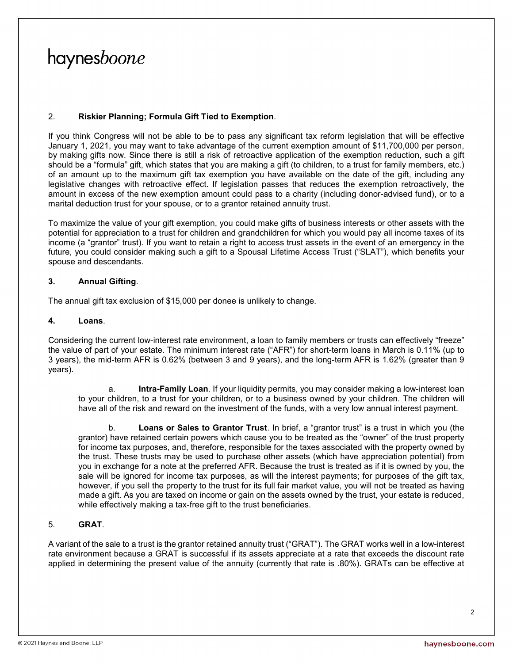# haynesboone

#### 2. **Riskier Planning; Formula Gift Tied to Exemption**.

If you think Congress will not be able to be to pass any significant tax reform legislation that will be effective January 1, 2021, you may want to take advantage of the current exemption amount of \$11,700,000 per person, by making gifts now. Since there is still a risk of retroactive application of the exemption reduction, such a gift should be a "formula" gift, which states that you are making a gift (to children, to a trust for family members, etc.) of an amount up to the maximum gift tax exemption you have available on the date of the gift, including any legislative changes with retroactive effect. If legislation passes that reduces the exemption retroactively, the amount in excess of the new exemption amount could pass to a charity (including donor-advised fund), or to a marital deduction trust for your spouse, or to a grantor retained annuity trust.

To maximize the value of your gift exemption, you could make gifts of business interests or other assets with the potential for appreciation to a trust for children and grandchildren for which you would pay all income taxes of its income (a "grantor" trust). If you want to retain a right to access trust assets in the event of an emergency in the future, you could consider making such a gift to a Spousal Lifetime Access Trust ("SLAT"), which benefits your spouse and descendants.

#### **3. Annual Gifting**.

The annual gift tax exclusion of \$15,000 per donee is unlikely to change.

#### **4. Loans**.

Considering the current low-interest rate environment, a loan to family members or trusts can effectively "freeze" the value of part of your estate. The minimum interest rate ("AFR") for short-term loans in March is 0.11% (up to 3 years), the mid-term AFR is 0.62% (between 3 and 9 years), and the long-term AFR is 1.62% (greater than 9 years).

a. **Intra-Family Loan**. If your liquidity permits, you may consider making a low-interest loan to your children, to a trust for your children, or to a business owned by your children. The children will have all of the risk and reward on the investment of the funds, with a very low annual interest payment.

b. **Loans or Sales to Grantor Trust**. In brief, a "grantor trust" is a trust in which you (the grantor) have retained certain powers which cause you to be treated as the "owner" of the trust property for income tax purposes, and, therefore, responsible for the taxes associated with the property owned by the trust. These trusts may be used to purchase other assets (which have appreciation potential) from you in exchange for a note at the preferred AFR. Because the trust is treated as if it is owned by you, the sale will be ignored for income tax purposes, as will the interest payments; for purposes of the gift tax, however, if you sell the property to the trust for its full fair market value, you will not be treated as having made a gift. As you are taxed on income or gain on the assets owned by the trust, your estate is reduced, while effectively making a tax-free gift to the trust beneficiaries.

### 5. **GRAT**.

A variant of the sale to a trust is the grantor retained annuity trust ("GRAT"). The GRAT works well in a low-interest rate environment because a GRAT is successful if its assets appreciate at a rate that exceeds the discount rate applied in determining the present value of the annuity (currently that rate is .80%). GRATs can be effective at